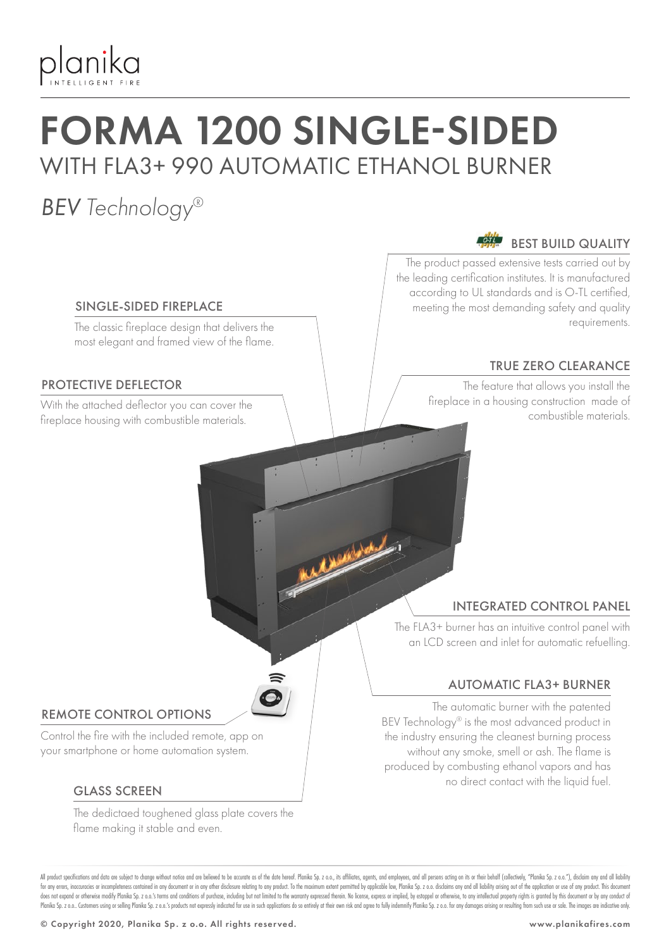

## FORMA 1200 SINGLE-SIDED WITH FLA3+ 990 AUTOMATIC ETHANOL BURNER

## *BEV Technology®*

### BEST BUILD QUALITY

The product passed extensive tests carried out by the leading certification institutes. It is manufactured according to UL standards and is O-TL certified, meeting the most demanding safety and quality requirements.

#### TRUE ZERO CLEARANCE

The feature that allows you install the fireplace in a housing construction made of With the attached deflector you can cover the time in the state of the state of the state of the state of the state of the state of the state of the state of the state of the state of the state of the state of the state of

#### SINGLE-SIDED FIREPLACE

The classic fireplace design that delivers the most elegant and framed view of the flame.

#### PROTECTIVE DEFLECTOR

fireplace housing with combustible materials.

#### INTEGRATED CONTROL PANEL

The FLA3+ burner has an intuitive control panel with an LCD screen and inlet for automatic refuelling.

#### AUTOMATIC FLA3+ BURNER

The automatic burner with the patented BEV Technology® is the most advanced product in the industry ensuring the cleanest burning process without any smoke, smell or ash. The flame is produced by combusting ethanol vapors and has no direct contact with the liquid fuel.

#### REMOTE CONTROL OPTIONS

Control the fire with the included remote, app on your smartphone or home automation system.

#### GLASS SCREEN

The dedictaed toughened glass plate covers the flame making it stable and even.

All product specifications and data are subject to change without notice and are believed to be accurate as of the date hereof. Planika So, z o.o., its affiliates, agents, and employees, and all only are action on its or t for any errors, inaccuracies or incompleteness contained in any document or in any other disclosure relating to any product. To the maximum extent permitted by applicable law, Planika Sp. z o.o. disclaims any and all liabi does not expand or otherwise modify Planika Sp. 2 o.o.'s terms and conditions of purchase, including but not limited to the warranty expressed therein. No license, express or implied, by estoppel or otherwise, to any intel Planika Sp. z o.o. Customers using or selling Planika Sp. z o.o.'s products not expressly indicated for use in such applications do so entirely at their own risk and agree to fully indemnify Planika Sp. z o.o. for any dama